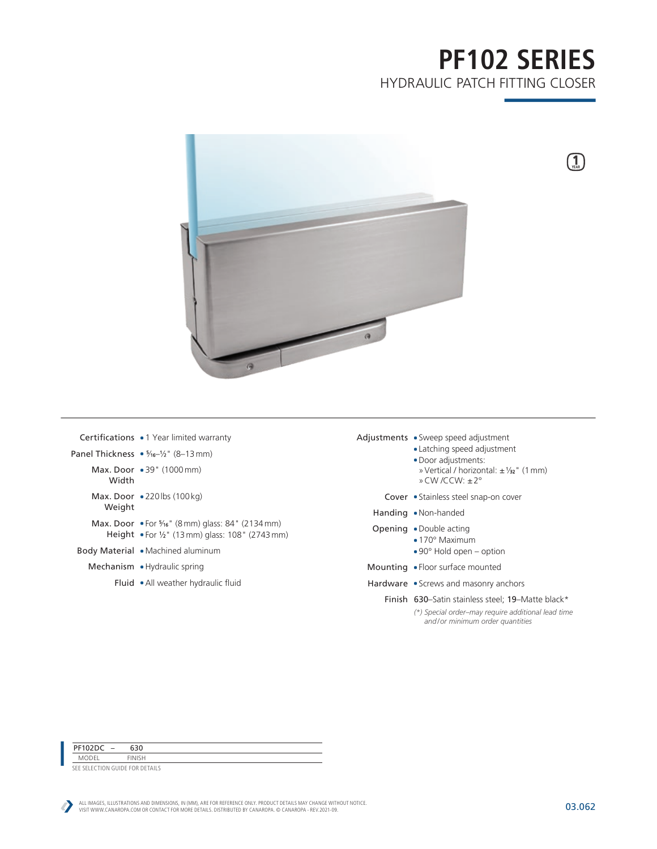# **PF102 SERIES** HYDRAULIC PATCH FITTING CLOSER

 $\mathbf{1}$ 



|        | <b>Certifications • 1</b> Year limited warranty                                                                               |
|--------|-------------------------------------------------------------------------------------------------------------------------------|
|        | Panel Thickness $\bullet$ $\frac{5}{16}$ /2" (8-13 mm)                                                                        |
| Width  | Max. Door $\bullet$ 39" (1000 mm)                                                                                             |
| Weight | Max. Door $\bullet$ 220 lbs (100 kg)                                                                                          |
|        | <b>Max. Door</b> • For $\frac{5}{16}$ " (8 mm) glass: 84" (2134 mm)<br><b>Height • For 1/2"</b> (13 mm) glass: 108" (2743 mm) |
|        | <b>Body Material • Machined aluminum</b>                                                                                      |
|        | .                                                                                                                             |

- Mechanism Hydraulic spring
	- Fluid All weather hydraulic fluid
- Adjustments Sweep speed adjustment
	- Latching speed adjustment
	- Door adjustments:
	- »Vertical / horizontal: ±1 ⁄32" (1mm) »CW /CCW: ±2°
	- Cover Stainless steel snap-on cover
	- Handing Non-handed
	- Opening Double acting
		- 170° Maximum
			- 90° Hold open option
	- Mounting Floor surface mounted
	- Hardware Screws and masonry anchors
		- Finish 630–Satin stainless steel; 19–Matte black\*
			- *(\*) Special order–may require additional lead time and/or minimum order quantities*

PF102DC – 630

MODEL FINISH SEE SELECTION GUIDE FOR DETAILS

ALL IMAGES, ILLUSTRATIONS AND DIMENSIONS, IN (MM), ARE FOR REFERENCE ONLY. PRODUCT DETAILS MAY CHANGE WITHOUT NOTICE.<br>VISIT WWW.CANAROPA.COM OR CONTACT FOR MORE DETAILS. DISTRIBUTED BY CANAROPA. © CANAROPA - REV.2021-09.